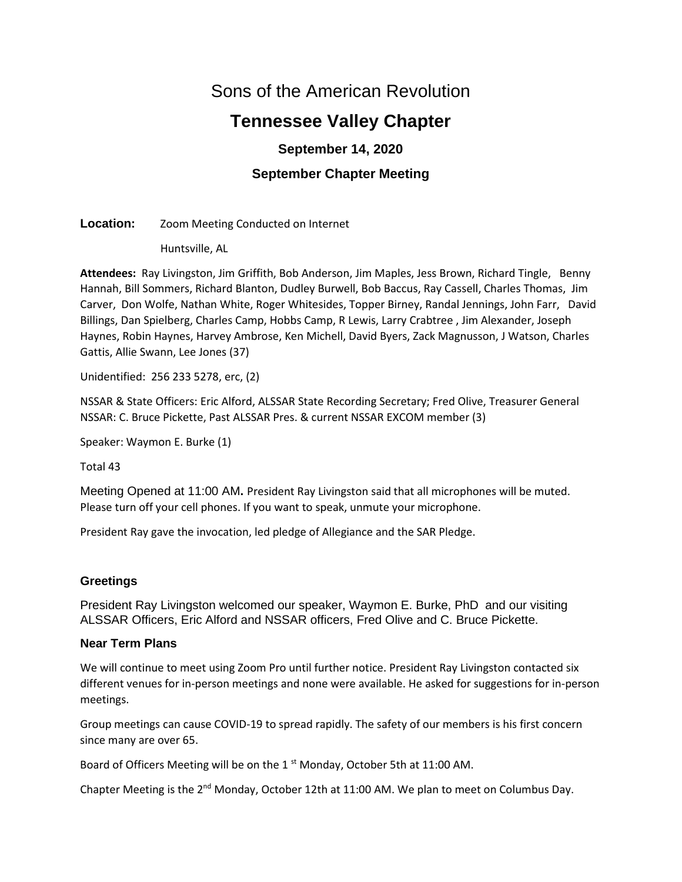# Sons of the American Revolution

# **Tennessee Valley Chapter**

# **September 14, 2020**

# **September Chapter Meeting**

# **Location:** Zoom Meeting Conducted on Internet

Huntsville, AL

**Attendees:** Ray Livingston, Jim Griffith, Bob Anderson, Jim Maples, Jess Brown, Richard Tingle, Benny Hannah, Bill Sommers, Richard Blanton, Dudley Burwell, Bob Baccus, Ray Cassell, Charles Thomas, Jim Carver, Don Wolfe, Nathan White, Roger Whitesides, Topper Birney, Randal Jennings, John Farr, David Billings, Dan Spielberg, Charles Camp, Hobbs Camp, R Lewis, Larry Crabtree , Jim Alexander, Joseph Haynes, Robin Haynes, Harvey Ambrose, Ken Michell, David Byers, Zack Magnusson, J Watson, Charles Gattis, Allie Swann, Lee Jones (37)

Unidentified: 256 233 5278, erc, (2)

NSSAR & State Officers: Eric Alford, ALSSAR State Recording Secretary; Fred Olive, Treasurer General NSSAR: C. Bruce Pickette, Past ALSSAR Pres. & current NSSAR EXCOM member (3)

Speaker: Waymon E. Burke (1)

Total 43

Meeting Opened at 11:00 AM**.** President Ray Livingston said that all microphones will be muted. Please turn off your cell phones. If you want to speak, unmute your microphone.

President Ray gave the invocation, led pledge of Allegiance and the SAR Pledge.

# **Greetings**

President Ray Livingston welcomed our speaker, Waymon E. Burke, PhD and our visiting ALSSAR Officers, Eric Alford and NSSAR officers, Fred Olive and C. Bruce Pickette.

# **Near Term Plans**

We will continue to meet using Zoom Pro until further notice. President Ray Livingston contacted six different venues for in-person meetings and none were available. He asked for suggestions for in-person meetings.

Group meetings can cause COVID-19 to spread rapidly. The safety of our members is his first concern since many are over 65.

Board of Officers Meeting will be on the 1<sup>st</sup> Monday, October 5th at 11:00 AM.

Chapter Meeting is the 2<sup>nd</sup> Monday, October 12th at 11:00 AM. We plan to meet on Columbus Day.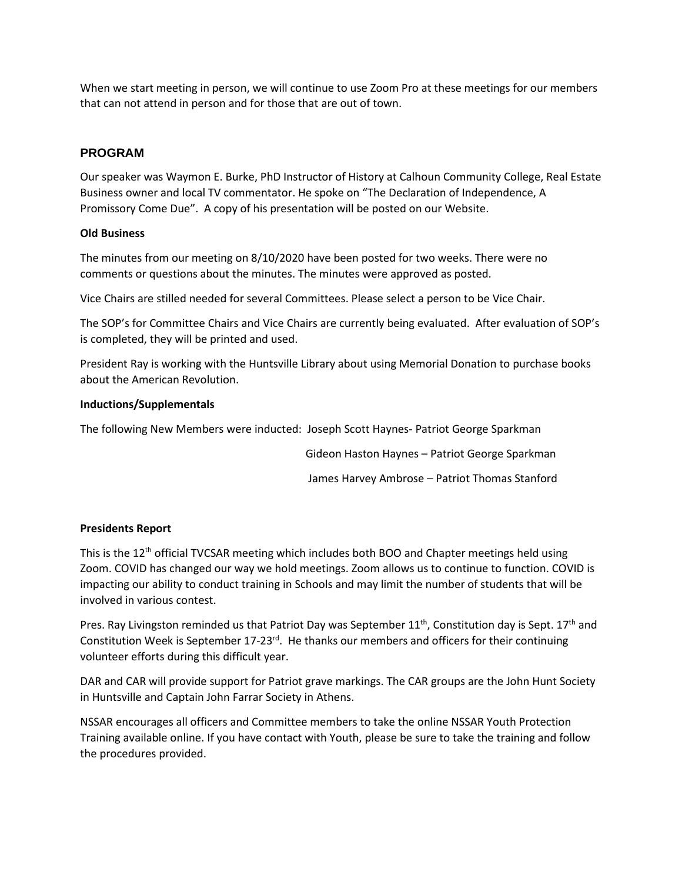When we start meeting in person, we will continue to use Zoom Pro at these meetings for our members that can not attend in person and for those that are out of town.

# **PROGRAM**

Our speaker was Waymon E. Burke, PhD Instructor of History at Calhoun Community College, Real Estate Business owner and local TV commentator. He spoke on "The Declaration of Independence, A Promissory Come Due". A copy of his presentation will be posted on our Website.

# **Old Business**

The minutes from our meeting on 8/10/2020 have been posted for two weeks. There were no comments or questions about the minutes. The minutes were approved as posted.

Vice Chairs are stilled needed for several Committees. Please select a person to be Vice Chair.

The SOP's for Committee Chairs and Vice Chairs are currently being evaluated. After evaluation of SOP's is completed, they will be printed and used.

President Ray is working with the Huntsville Library about using Memorial Donation to purchase books about the American Revolution.

# **Inductions/Supplementals**

The following New Members were inducted: Joseph Scott Haynes- Patriot George Sparkman

Gideon Haston Haynes – Patriot George Sparkman

James Harvey Ambrose – Patriot Thomas Stanford

#### **Presidents Report**

This is the  $12<sup>th</sup>$  official TVCSAR meeting which includes both BOO and Chapter meetings held using Zoom. COVID has changed our way we hold meetings. Zoom allows us to continue to function. COVID is impacting our ability to conduct training in Schools and may limit the number of students that will be involved in various contest.

Pres. Ray Livingston reminded us that Patriot Day was September 11<sup>th</sup>, Constitution day is Sept. 17<sup>th</sup> and Constitution Week is September  $17-23$ <sup>rd</sup>. He thanks our members and officers for their continuing volunteer efforts during this difficult year.

DAR and CAR will provide support for Patriot grave markings. The CAR groups are the John Hunt Society in Huntsville and Captain John Farrar Society in Athens.

NSSAR encourages all officers and Committee members to take the online NSSAR Youth Protection Training available online. If you have contact with Youth, please be sure to take the training and follow the procedures provided.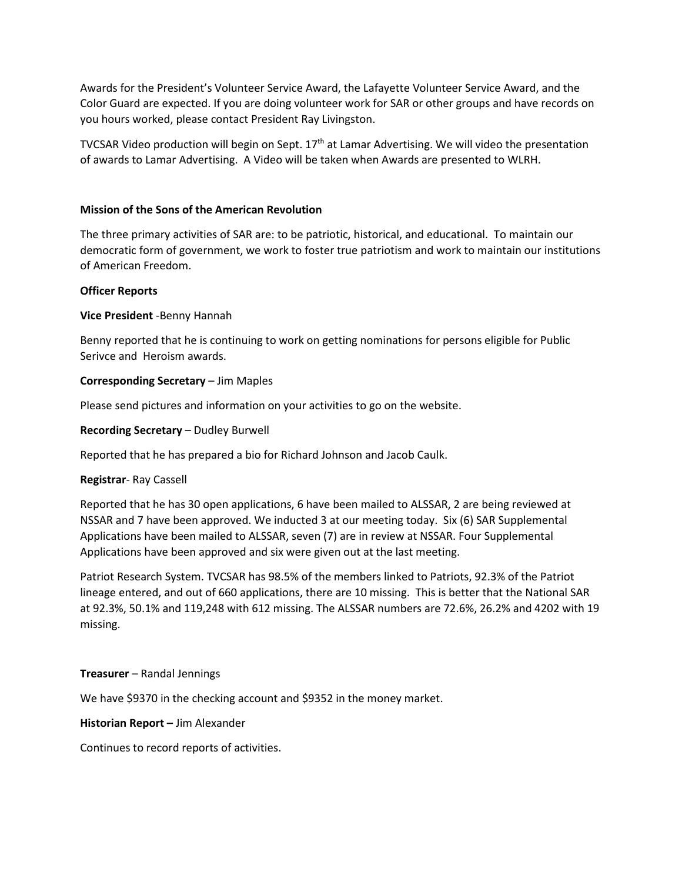Awards for the President's Volunteer Service Award, the Lafayette Volunteer Service Award, and the Color Guard are expected. If you are doing volunteer work for SAR or other groups and have records on you hours worked, please contact President Ray Livingston.

TVCSAR Video production will begin on Sept.  $17<sup>th</sup>$  at Lamar Advertising. We will video the presentation of awards to Lamar Advertising. A Video will be taken when Awards are presented to WLRH.

#### **Mission of the Sons of the American Revolution**

The three primary activities of SAR are: to be patriotic, historical, and educational. To maintain our democratic form of government, we work to foster true patriotism and work to maintain our institutions of American Freedom.

#### **Officer Reports**

# **Vice President** -Benny Hannah

Benny reported that he is continuing to work on getting nominations for persons eligible for Public Serivce and Heroism awards.

# **Corresponding Secretary** – Jim Maples

Please send pictures and information on your activities to go on the website.

# **Recording Secretary** – Dudley Burwell

Reported that he has prepared a bio for Richard Johnson and Jacob Caulk.

#### **Registrar**- Ray Cassell

Reported that he has 30 open applications, 6 have been mailed to ALSSAR, 2 are being reviewed at NSSAR and 7 have been approved. We inducted 3 at our meeting today. Six (6) SAR Supplemental Applications have been mailed to ALSSAR, seven (7) are in review at NSSAR. Four Supplemental Applications have been approved and six were given out at the last meeting.

Patriot Research System. TVCSAR has 98.5% of the members linked to Patriots, 92.3% of the Patriot lineage entered, and out of 660 applications, there are 10 missing. This is better that the National SAR at 92.3%, 50.1% and 119,248 with 612 missing. The ALSSAR numbers are 72.6%, 26.2% and 4202 with 19 missing.

#### **Treasurer** – Randal Jennings

We have \$9370 in the checking account and \$9352 in the money market.

#### **Historian Report –** Jim Alexander

Continues to record reports of activities.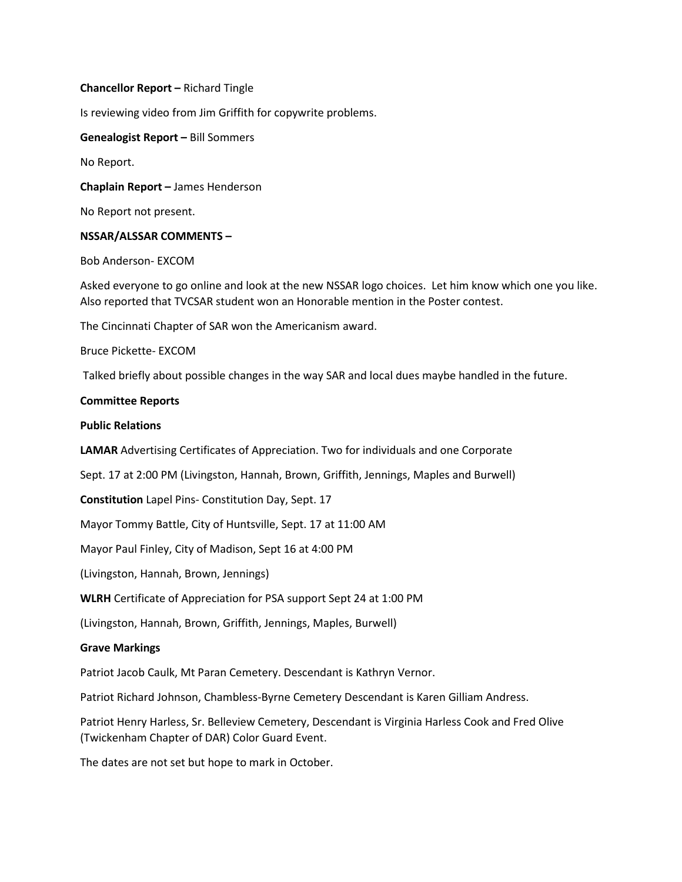#### **Chancellor Report –** Richard Tingle

Is reviewing video from Jim Griffith for copywrite problems.

**Genealogist Report –** Bill Sommers

No Report.

**Chaplain Report –** James Henderson

No Report not present.

#### **NSSAR/ALSSAR COMMENTS –**

Bob Anderson- EXCOM

Asked everyone to go online and look at the new NSSAR logo choices. Let him know which one you like. Also reported that TVCSAR student won an Honorable mention in the Poster contest.

The Cincinnati Chapter of SAR won the Americanism award.

Bruce Pickette- EXCOM

Talked briefly about possible changes in the way SAR and local dues maybe handled in the future.

#### **Committee Reports**

#### **Public Relations**

**LAMAR** Advertising Certificates of Appreciation. Two for individuals and one Corporate

Sept. 17 at 2:00 PM (Livingston, Hannah, Brown, Griffith, Jennings, Maples and Burwell)

**Constitution** Lapel Pins- Constitution Day, Sept. 17

Mayor Tommy Battle, City of Huntsville, Sept. 17 at 11:00 AM

Mayor Paul Finley, City of Madison, Sept 16 at 4:00 PM

(Livingston, Hannah, Brown, Jennings)

**WLRH** Certificate of Appreciation for PSA support Sept 24 at 1:00 PM

(Livingston, Hannah, Brown, Griffith, Jennings, Maples, Burwell)

#### **Grave Markings**

Patriot Jacob Caulk, Mt Paran Cemetery. Descendant is Kathryn Vernor.

Patriot Richard Johnson, Chambless-Byrne Cemetery Descendant is Karen Gilliam Andress.

Patriot Henry Harless, Sr. Belleview Cemetery, Descendant is Virginia Harless Cook and Fred Olive (Twickenham Chapter of DAR) Color Guard Event.

The dates are not set but hope to mark in October.